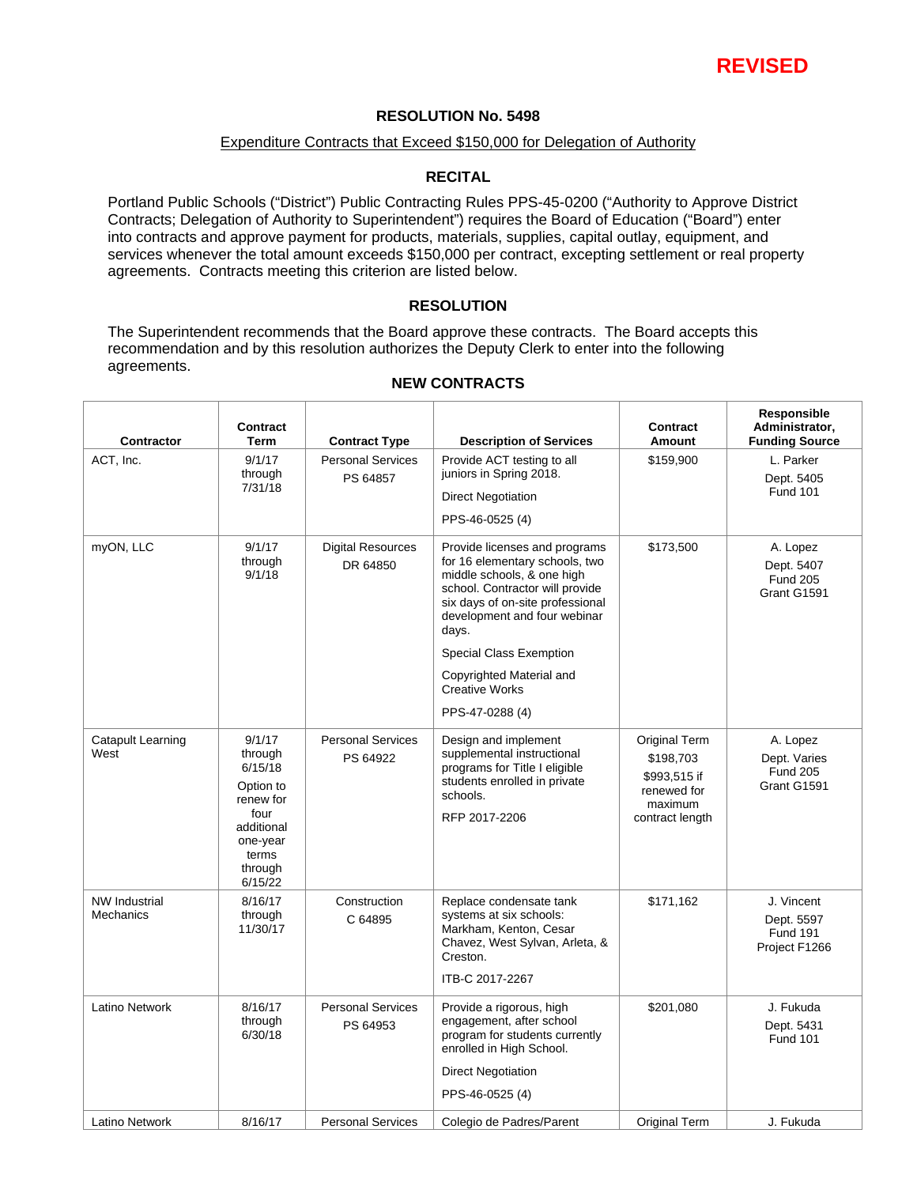

### **RESOLUTION No. 5498**

### Expenditure Contracts that Exceed \$150,000 for Delegation of Authority

### **RECITAL**

Portland Public Schools ("District") Public Contracting Rules PPS-45-0200 ("Authority to Approve District Contracts; Delegation of Authority to Superintendent") requires the Board of Education ("Board") enter into contracts and approve payment for products, materials, supplies, capital outlay, equipment, and services whenever the total amount exceeds \$150,000 per contract, excepting settlement or real property agreements. Contracts meeting this criterion are listed below.

### **RESOLUTION**

The Superintendent recommends that the Board approve these contracts. The Board accepts this recommendation and by this resolution authorizes the Deputy Clerk to enter into the following agreements.

 $\overline{1}$ 

| Contractor                        | <b>Contract</b><br>Term                                                                                                 | <b>Contract Type</b>                 | <b>Description of Services</b>                                                                                                                                                                                                                                                                                          | <b>Contract</b><br><b>Amount</b>                                                        | Responsible<br>Administrator,<br><b>Funding Source</b>       |
|-----------------------------------|-------------------------------------------------------------------------------------------------------------------------|--------------------------------------|-------------------------------------------------------------------------------------------------------------------------------------------------------------------------------------------------------------------------------------------------------------------------------------------------------------------------|-----------------------------------------------------------------------------------------|--------------------------------------------------------------|
| ACT, Inc.                         | 9/1/17<br>through<br>7/31/18                                                                                            | <b>Personal Services</b><br>PS 64857 | Provide ACT testing to all<br>juniors in Spring 2018.<br><b>Direct Negotiation</b><br>PPS-46-0525 (4)                                                                                                                                                                                                                   | \$159,900                                                                               | L. Parker<br>Dept. 5405<br><b>Fund 101</b>                   |
| myON, LLC                         | 9/1/17<br>through<br>9/1/18                                                                                             | <b>Digital Resources</b><br>DR 64850 | Provide licenses and programs<br>for 16 elementary schools, two<br>middle schools, & one high<br>school. Contractor will provide<br>six days of on-site professional<br>development and four webinar<br>days.<br><b>Special Class Exemption</b><br>Copyrighted Material and<br><b>Creative Works</b><br>PPS-47-0288 (4) | \$173,500                                                                               | A. Lopez<br>Dept. 5407<br><b>Fund 205</b><br>Grant G1591     |
| <b>Catapult Learning</b><br>West  | 9/1/17<br>through<br>6/15/18<br>Option to<br>renew for<br>four<br>additional<br>one-year<br>terms<br>through<br>6/15/22 | <b>Personal Services</b><br>PS 64922 | Design and implement<br>supplemental instructional<br>programs for Title I eligible<br>students enrolled in private<br>schools.<br>RFP 2017-2206                                                                                                                                                                        | Original Term<br>\$198,703<br>\$993,515 if<br>renewed for<br>maximum<br>contract length | A. Lopez<br>Dept. Varies<br><b>Fund 205</b><br>Grant G1591   |
| <b>NW Industrial</b><br>Mechanics | 8/16/17<br>through<br>11/30/17                                                                                          | Construction<br>C 64895              | Replace condensate tank<br>systems at six schools:<br>Markham, Kenton, Cesar<br>Chavez, West Sylvan, Arleta, &<br>Creston.<br>ITB-C 2017-2267                                                                                                                                                                           | \$171,162                                                                               | J. Vincent<br>Dept. 5597<br><b>Fund 191</b><br>Project F1266 |
| Latino Network                    | 8/16/17<br>through<br>6/30/18                                                                                           | <b>Personal Services</b><br>PS 64953 | Provide a rigorous, high<br>engagement, after school<br>program for students currently<br>enrolled in High School.<br><b>Direct Negotiation</b><br>PPS-46-0525 (4)                                                                                                                                                      | \$201,080                                                                               | J. Fukuda<br>Dept. 5431<br><b>Fund 101</b>                   |
| Latino Network                    | 8/16/17                                                                                                                 | <b>Personal Services</b>             | Colegio de Padres/Parent                                                                                                                                                                                                                                                                                                | <b>Original Term</b>                                                                    | J. Fukuda                                                    |

### **NEW CONTRACTS**

 $\overline{1}$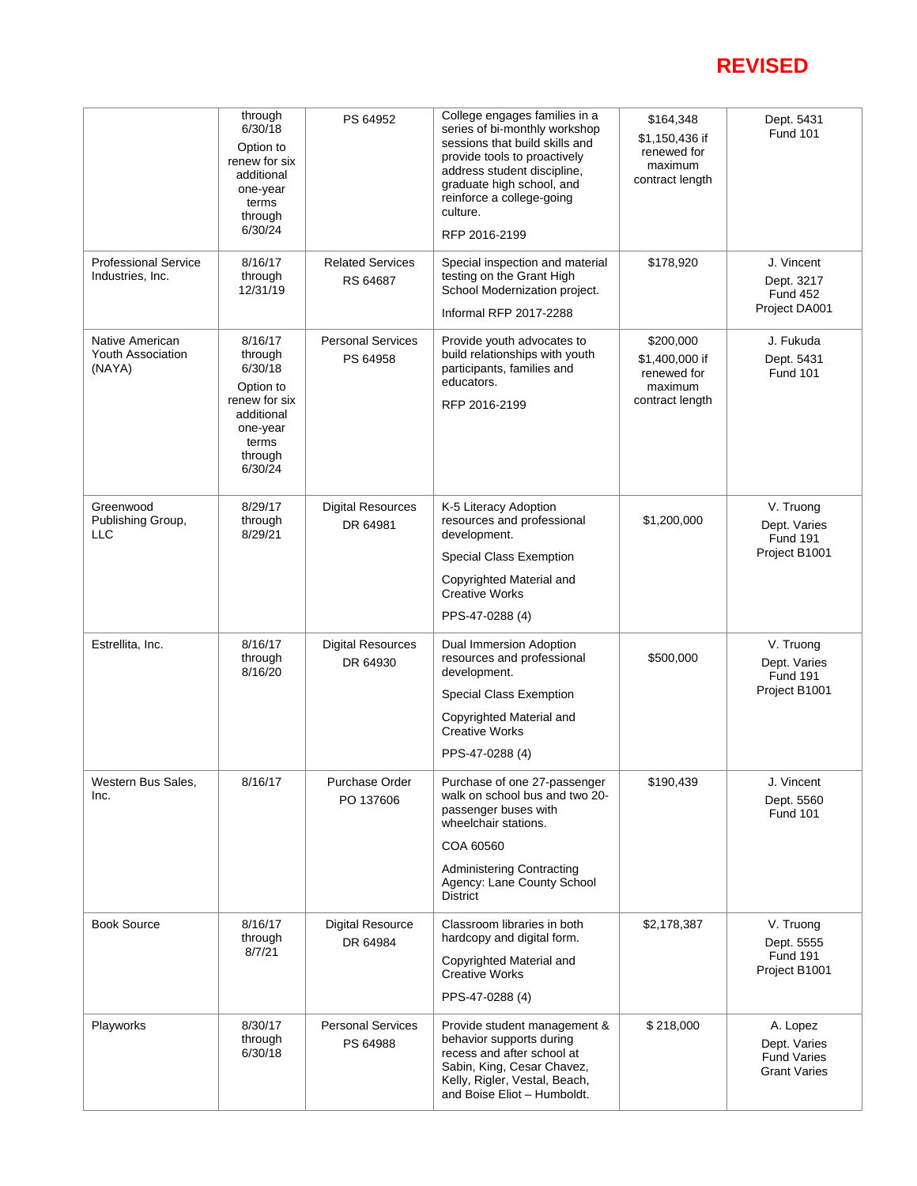# **REVISED**

|                                                 | through<br>6/30/18<br>Option to<br>renew for six<br>additional<br>one-year<br>terms<br>through<br>6/30/24            | PS 64952                             | College engages families in a<br>series of bi-monthly workshop<br>sessions that build skills and<br>provide tools to proactively<br>address student discipline,<br>graduate high school, and<br>reinforce a college-going<br>culture.<br>RFP 2016-2199 | \$164,348<br>\$1,150,436 if<br>renewed for<br>maximum<br>contract length | Dept. 5431<br><b>Fund 101</b>                                         |
|-------------------------------------------------|----------------------------------------------------------------------------------------------------------------------|--------------------------------------|--------------------------------------------------------------------------------------------------------------------------------------------------------------------------------------------------------------------------------------------------------|--------------------------------------------------------------------------|-----------------------------------------------------------------------|
| <b>Professional Service</b><br>Industries, Inc. | 8/16/17<br>through<br>12/31/19                                                                                       | <b>Related Services</b><br>RS 64687  | Special inspection and material<br>testing on the Grant High<br>School Modernization project.<br>Informal RFP 2017-2288                                                                                                                                | \$178,920                                                                | J. Vincent<br>Dept. 3217<br><b>Fund 452</b><br>Project DA001          |
| Native American<br>Youth Association<br>(NAYA)  | 8/16/17<br>through<br>6/30/18<br>Option to<br>renew for six<br>additional<br>one-year<br>terms<br>through<br>6/30/24 | <b>Personal Services</b><br>PS 64958 | Provide youth advocates to<br>build relationships with youth<br>participants, families and<br>educators.<br>RFP 2016-2199                                                                                                                              | \$200,000<br>\$1,400,000 if<br>renewed for<br>maximum<br>contract length | J. Fukuda<br>Dept. 5431<br><b>Fund 101</b>                            |
| Greenwood<br>Publishing Group,<br><b>LLC</b>    | 8/29/17<br>through<br>8/29/21                                                                                        | <b>Digital Resources</b><br>DR 64981 | K-5 Literacy Adoption<br>resources and professional<br>development.<br>Special Class Exemption<br>Copyrighted Material and<br><b>Creative Works</b><br>PPS-47-0288 (4)                                                                                 | \$1,200,000                                                              | V. Truong<br>Dept. Varies<br><b>Fund 191</b><br>Project B1001         |
| Estrellita, Inc.                                | 8/16/17<br>through<br>8/16/20                                                                                        | <b>Digital Resources</b><br>DR 64930 | Dual Immersion Adoption<br>resources and professional<br>development.<br>Special Class Exemption<br>Copyrighted Material and<br><b>Creative Works</b><br>PPS-47-0288 (4)                                                                               | \$500,000                                                                | V. Truong<br>Dept. Varies<br><b>Fund 191</b><br>Project B1001         |
| Western Bus Sales,<br>Inc.                      | 8/16/17                                                                                                              | Purchase Order<br>PO 137606          | Purchase of one 27-passenger<br>walk on school bus and two 20-<br>passenger buses with<br>wheelchair stations.<br>COA 60560<br><b>Administering Contracting</b><br>Agency: Lane County School<br><b>District</b>                                       | \$190,439                                                                | J. Vincent<br>Dept. 5560<br><b>Fund 101</b>                           |
| <b>Book Source</b>                              | 8/16/17<br>through<br>8/7/21                                                                                         | <b>Digital Resource</b><br>DR 64984  | Classroom libraries in both<br>hardcopy and digital form.<br>Copyrighted Material and<br><b>Creative Works</b><br>PPS-47-0288 (4)                                                                                                                      | \$2,178,387                                                              | V. Truong<br>Dept. 5555<br><b>Fund 191</b><br>Project B1001           |
| Playworks                                       | 8/30/17<br>through<br>6/30/18                                                                                        | <b>Personal Services</b><br>PS 64988 | Provide student management &<br>behavior supports during<br>recess and after school at<br>Sabin, King, Cesar Chavez,<br>Kelly, Rigler, Vestal, Beach,<br>and Boise Eliot - Humboldt.                                                                   | \$218,000                                                                | A. Lopez<br>Dept. Varies<br><b>Fund Varies</b><br><b>Grant Varies</b> |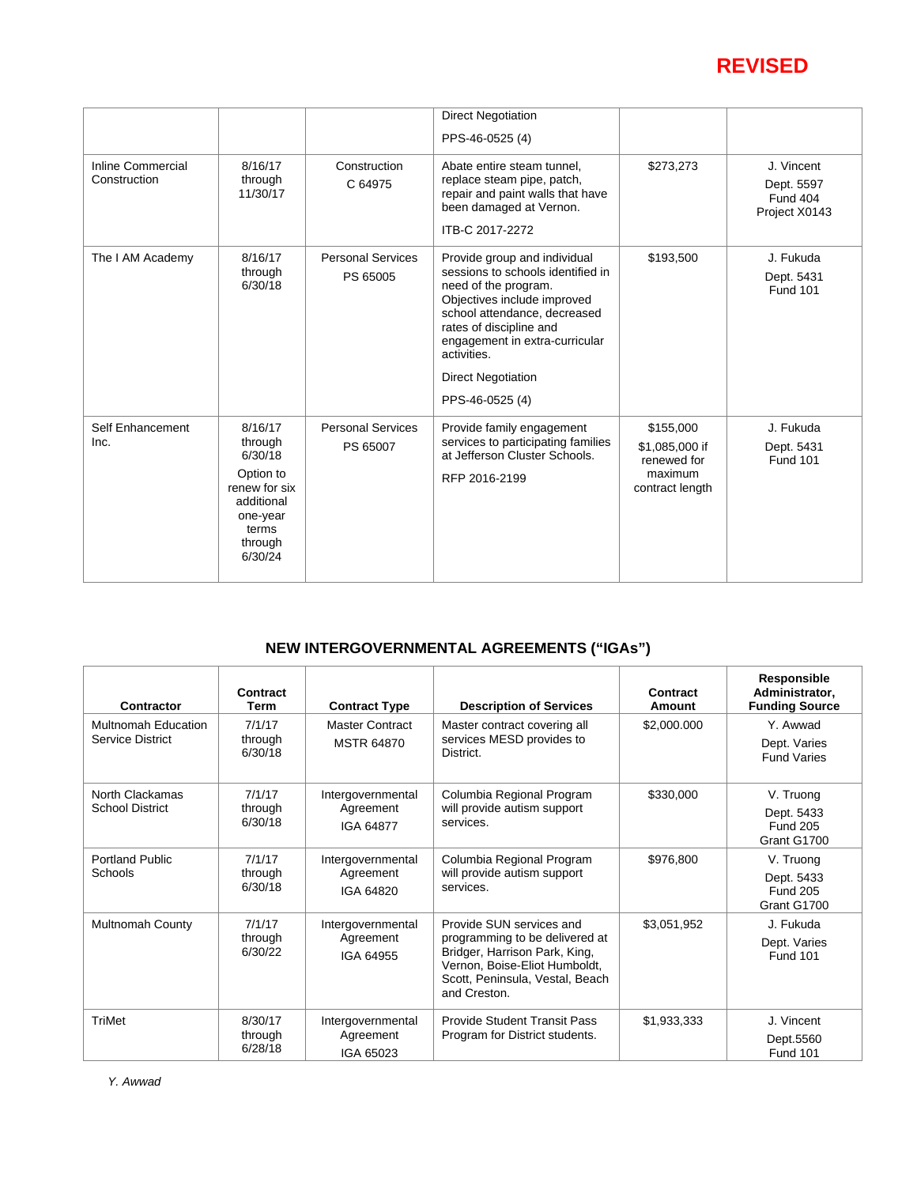## **REVISED**

|                                   |                                                                                                                      |                                      | <b>Direct Negotiation</b><br>PPS-46-0525 (4)                                                                                                                                                                                                                                         |                                                                          |                                                              |
|-----------------------------------|----------------------------------------------------------------------------------------------------------------------|--------------------------------------|--------------------------------------------------------------------------------------------------------------------------------------------------------------------------------------------------------------------------------------------------------------------------------------|--------------------------------------------------------------------------|--------------------------------------------------------------|
| Inline Commercial<br>Construction | 8/16/17<br>through<br>11/30/17                                                                                       | Construction<br>C 64975              | Abate entire steam tunnel.<br>replace steam pipe, patch,<br>repair and paint walls that have<br>been damaged at Vernon.<br>ITB-C 2017-2272                                                                                                                                           | \$273,273                                                                | J. Vincent<br>Dept. 5597<br><b>Fund 404</b><br>Project X0143 |
| The I AM Academy                  | 8/16/17<br>through<br>6/30/18                                                                                        | <b>Personal Services</b><br>PS 65005 | Provide group and individual<br>sessions to schools identified in<br>need of the program.<br>Objectives include improved<br>school attendance, decreased<br>rates of discipline and<br>engagement in extra-curricular<br>activities.<br><b>Direct Negotiation</b><br>PPS-46-0525 (4) | \$193,500                                                                | J. Fukuda<br>Dept. 5431<br><b>Fund 101</b>                   |
| Self Enhancement<br>Inc.          | 8/16/17<br>through<br>6/30/18<br>Option to<br>renew for six<br>additional<br>one-year<br>terms<br>through<br>6/30/24 | <b>Personal Services</b><br>PS 65007 | Provide family engagement<br>services to participating families<br>at Jefferson Cluster Schools.<br>RFP 2016-2199                                                                                                                                                                    | \$155,000<br>\$1,085,000 if<br>renewed for<br>maximum<br>contract length | J. Fukuda<br>Dept. 5431<br><b>Fund 101</b>                   |

### **NEW INTERGOVERNMENTAL AGREEMENTS ("IGAs")**

| Contractor                                | Contract<br>Term              | <b>Contract Type</b>                        | <b>Description of Services</b>                                                                                                                                                  | Contract<br>Amount | Responsible<br>Administrator,<br><b>Funding Source</b>    |
|-------------------------------------------|-------------------------------|---------------------------------------------|---------------------------------------------------------------------------------------------------------------------------------------------------------------------------------|--------------------|-----------------------------------------------------------|
| Multnomah Education<br>Service District   | 7/1/17<br>through<br>6/30/18  | <b>Master Contract</b><br><b>MSTR 64870</b> | Master contract covering all<br>services MESD provides to<br>District.                                                                                                          | \$2,000.000        | Y. Awwad<br>Dept. Varies<br><b>Fund Varies</b>            |
| North Clackamas<br><b>School District</b> | 7/1/17<br>through<br>6/30/18  | Intergovernmental<br>Agreement<br>IGA 64877 | Columbia Regional Program<br>will provide autism support<br>services.                                                                                                           | \$330,000          | V. Truong<br>Dept. 5433<br><b>Fund 205</b><br>Grant G1700 |
| <b>Portland Public</b><br>Schools         | 7/1/17<br>through<br>6/30/18  | Intergovernmental<br>Agreement<br>IGA 64820 | Columbia Regional Program<br>will provide autism support<br>services.                                                                                                           | \$976,800          | V. Truong<br>Dept. 5433<br><b>Fund 205</b><br>Grant G1700 |
| <b>Multnomah County</b>                   | 7/1/17<br>through<br>6/30/22  | Intergovernmental<br>Agreement<br>IGA 64955 | Provide SUN services and<br>programming to be delivered at<br>Bridger, Harrison Park, King,<br>Vernon, Boise-Eliot Humboldt,<br>Scott, Peninsula, Vestal, Beach<br>and Creston. | \$3,051,952        | J. Fukuda<br>Dept. Varies<br><b>Fund 101</b>              |
| <b>TriMet</b>                             | 8/30/17<br>through<br>6/28/18 | Intergovernmental<br>Agreement<br>IGA 65023 | <b>Provide Student Transit Pass</b><br>Program for District students.                                                                                                           | \$1,933,333        | J. Vincent<br>Dept.5560<br><b>Fund 101</b>                |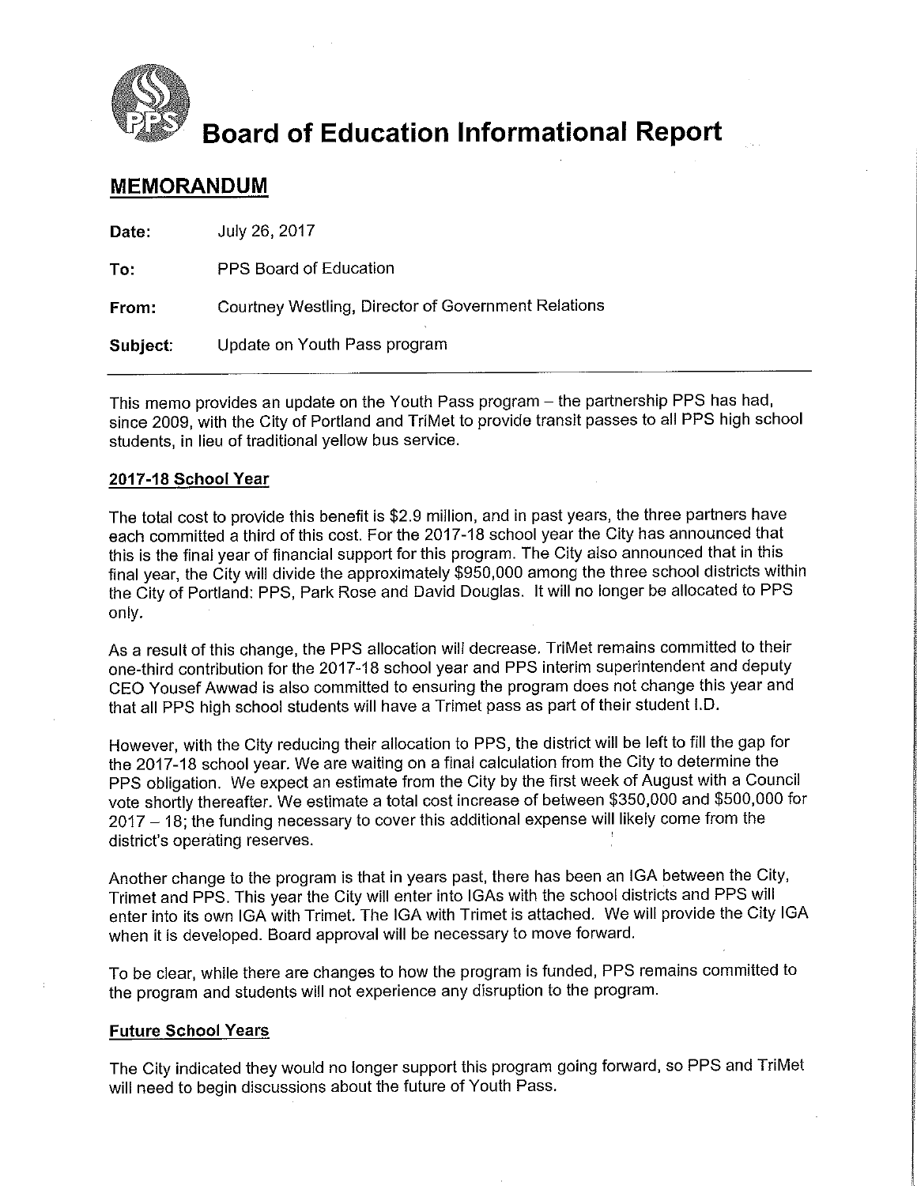

# **Board of Education Informational Report**

### **MEMORANDUM**

| Date:    | July 26, 2017                                       |
|----------|-----------------------------------------------------|
| To:      | PPS Board of Education                              |
| From:    | Courtney Westling, Director of Government Relations |
| Subject: | Update on Youth Pass program                        |

This memo provides an update on the Youth Pass program - the partnership PPS has had, since 2009, with the City of Portland and TriMet to provide transit passes to all PPS high school students, in lieu of traditional vellow bus service.

### 2017-18 School Year

The total cost to provide this benefit is \$2.9 million, and in past years, the three partners have each committed a third of this cost. For the 2017-18 school year the City has announced that this is the final year of financial support for this program. The City also announced that in this final year, the City will divide the approximately \$950,000 among the three school districts within the City of Portland: PPS, Park Rose and David Douglas. It will no longer be allocated to PPS only.

As a result of this change, the PPS allocation will decrease. TriMet remains committed to their one-third contribution for the 2017-18 school year and PPS interim superintendent and deputy CEO Yousef Awwad is also committed to ensuring the program does not change this year and that all PPS high school students will have a Trimet pass as part of their student I.D.

However, with the City reducing their allocation to PPS, the district will be left to fill the gap for the 2017-18 school year. We are waiting on a final calculation from the City to determine the PPS obligation. We expect an estimate from the City by the first week of August with a Council vote shortly thereafter. We estimate a total cost increase of between \$350,000 and \$500,000 for 2017 - 18, the funding necessary to cover this additional expense will likely come from the district's operating reserves.

Another change to the program is that in years past, there has been an IGA between the City, Trimet and PPS. This year the City will enter into IGAs with the school districts and PPS will enter into its own IGA with Trimet. The IGA with Trimet is attached. We will provide the City IGA when it is developed. Board approval will be necessary to move forward.

To be clear, while there are changes to how the program is funded, PPS remains committed to the program and students will not experience any disruption to the program.

### **Future School Years**

The City indicated they would no longer support this program going forward, so PPS and TriMet will need to begin discussions about the future of Youth Pass.